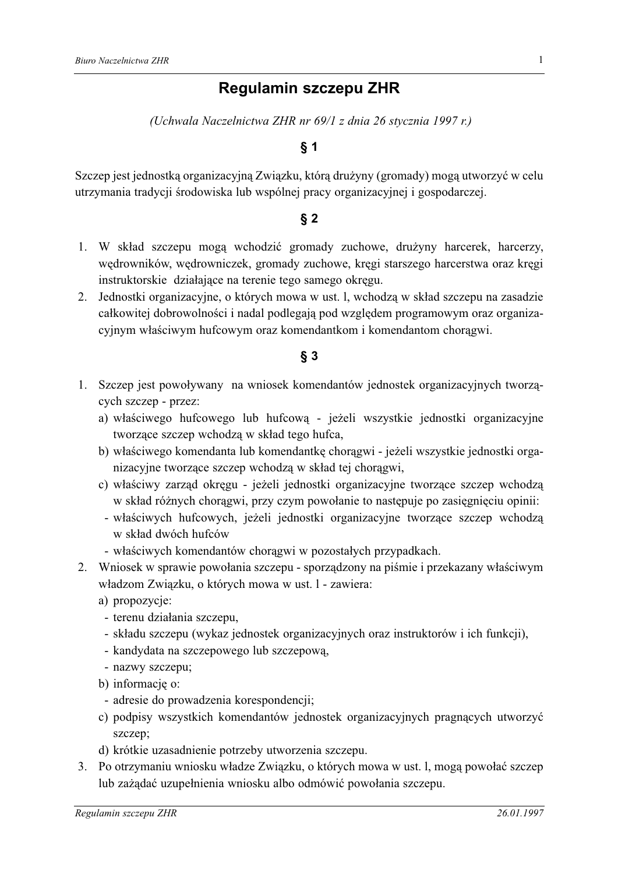# **Regulamin szczepu ZHR**

(Uchwala Naczelnictwa ZHR nr 69/1 z dnia 26 stycznia 1997 r.)

### $§ 1$

Szczep jest jednostką organizacyjną Związku, którą drużyny (gromady) mogą utworzyć w celu utrzymania tradycji środowiska lub wspólnej pracy organizacyjnej i gospodarczej.

#### $§ 2$

- 1. W skład szczepu mogą wchodzić gromady zuchowe, drużyny harcerek, harcerzy, wędrowników, wędrowniczek, gromady zuchowe, kręgi starszego harcerstwa oraz kręgi instruktorskie działające na terenie tego samego okręgu.
- 2. Jednostki organizacyjne, o których mowa w ust. l, wchodzą w skład szczepu na zasadzie całkowitej dobrowolności i nadal podlegają pod względem programowym oraz organizacyjnym właściwym hufcowym oraz komendantkom i komendantom chorągwi.

#### $§$  3

- 1. Szczep jest powoływany na wniosek komendantów jednostek organizacyjnych tworzących szczep - przez:
	- a) właściwego hufcowego lub hufcową jeżeli wszystkie jednostki organizacyjne tworzące szczep wchodzą w skład tego hufca,
	- b) właściwego komendanta lub komendantkę chorągwi jeżeli wszystkie jednostki organizacyjne tworzące szczep wchodzą w skład tej chorągwi,
	- c) właściwy zarząd okręgu jeżeli jednostki organizacyjne tworzące szczep wchodzą w skład różnych chorągwi, przy czym powołanie to następuje po zasięgnięciu opinii:
	- właściwych hufcowych, jeżeli jednostki organizacyjne tworzące szczep wchodzą w skład dwóch hufców
	- właściwych komendantów chorągwi w pozostałych przypadkach.
- 2. Wniosek w sprawie powołania szczepu sporządzony na piśmie i przekazany właściwym władzom Związku, o których mowa w ust. l - zawiera:
	- a) propozycje:
	- terenu działania szczepu,
	- składu szczepu (wykaz jednostek organizacyjnych oraz instruktorów i ich funkcji),
	- kandydata na szczepowego lub szczepową,
	- nazwy szczepu;
	- b) informację o:
	- adresie do prowadzenia korespondencji;
	- c) podpisy wszystkich komendantów jednostek organizacyjnych pragnących utworzyć szczep:
	- d) krótkie uzasadnienie potrzeby utworzenia szczepu.
- 3. Po otrzymaniu wniosku władze Związku, o których mowa w ust. l, mogą powołać szczep lub zażądać uzupełnienia wniosku albo odmówić powołania szczepu.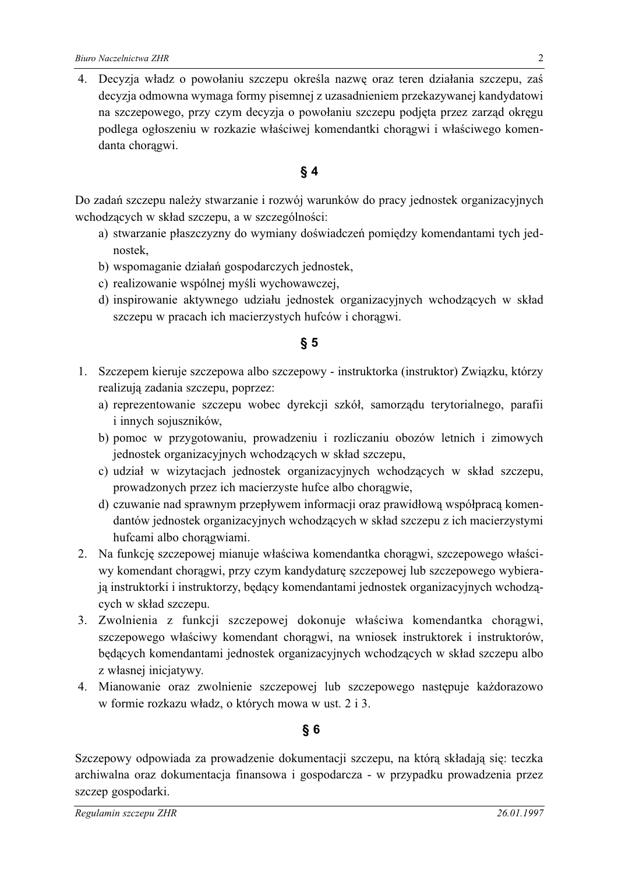Decyzja władz o powołaniu szczepu określa nazwę oraz teren działania szczepu, zaś 4. decyzja odmowna wymaga formy pisemnej z uzasadnieniem przekazywanej kandydatowi na szczepowego, przy czym decyzja o powołaniu szczepu podjęta przez zarząd okręgu podlega ogłoszeniu w rozkazie właściwej komendantki chorągwi i właściwego komendanta choragwi.

## $§$ 4

Do zadań szczepu należy stwarzanie i rozwój warunków do pracy jednostek organizacyjnych wchodzących w skład szczepu, a w szczególności:

- a) stwarzanie płaszczyzny do wymiany doświadczeń pomiędzy komendantami tych jednostek.
- b) wspomaganie działań gospodarczych jednostek,
- c) realizowanie wspólnej myśli wychowawczej,
- d) inspirowanie aktywnego udziału jednostek organizacyjnych wchodzących w skład szczepu w pracach ich macierzystych hufców i chorągwi.

#### $\S 5$

- 1. Szczepem kieruje szczepowa albo szczepowy instruktorka (instruktor) Związku, którzy realizują zadania szczepu, poprzez:
	- a) reprezentowanie szczepu wobec dyrekcji szkół, samorządu terytorialnego, parafii i innych sojuszników,
	- b) pomoc w przygotowaniu, prowadzeniu i rozliczaniu obozów letnich i zimowych jednostek organizacyjnych wchodzących w skład szczepu,
	- c) udział w wizytacjach jednostek organizacyjnych wchodzących w skład szczepu, prowadzonych przez ich macierzyste hufce albo chorągwie,
	- d) czuwanie nad sprawnym przepływem informacji oraz prawidłową współpracą komendantów jednostek organizacyjnych wchodzących w skład szczepu z ich macierzystymi hufcami albo chorągwiami.
- 2. Na funkcję szczepowej mianuje właściwa komendantka chorągwi, szczepowego właściwy komendant choragwi, przy czym kandydaturę szczepowej lub szczepowego wybierają instruktorki i instruktorzy, będący komendantami jednostek organizacyjnych wchodzących w skład szczepu.
- 3. Zwolnienia z funkcji szczepowej dokonuje właściwa komendantka chorągwi, szczepowego właściwy komendant chorągwi, na wniosek instruktorek i instruktorów, będących komendantami jednostek organizacyjnych wchodzących w skład szczepu albo z własnej inicjatywy.
- 4. Mianowanie oraz zwolnienie szczepowej lub szczepowego następuje każdorazowo w formie rozkazu władz, o których mowa w ust. 2 i 3.

## $§6$

Szczepowy odpowiada za prowadzenie dokumentacji szczepu, na którą składają się: teczka archiwalna oraz dokumentacja finansowa i gospodarcza - w przypadku prowadzenia przez szczep gospodarki.